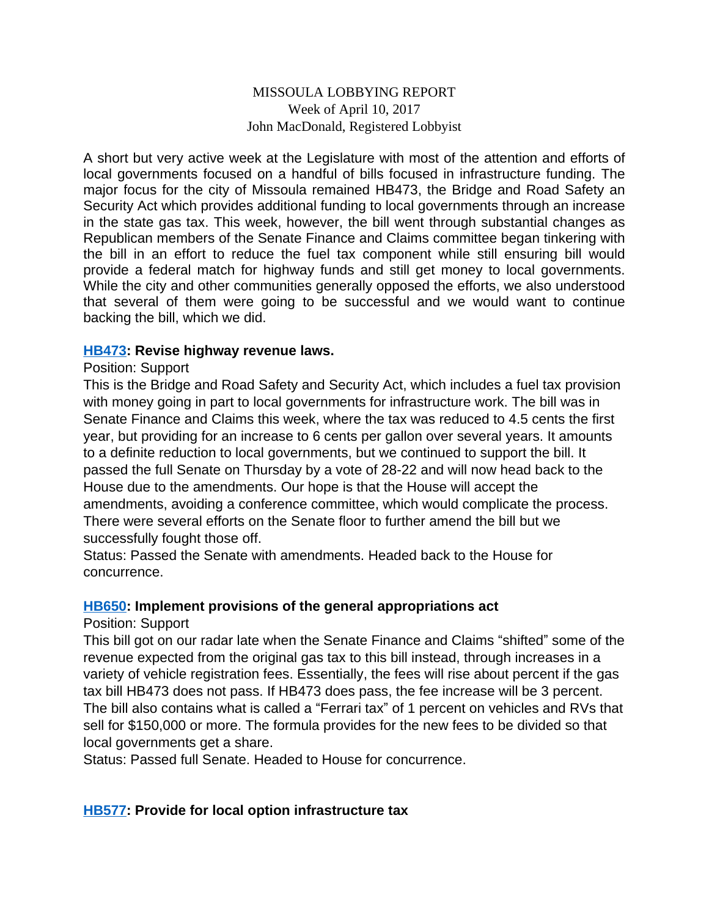## MISSOULA LOBBYING REPORT Week of April 10, 2017 John MacDonald, Registered Lobbyist

A short but very active week at the Legislature with most of the attention and efforts of local governments focused on a handful of bills focused in infrastructure funding. The major focus for the city of Missoula remained HB473, the Bridge and Road Safety an Security Act which provides additional funding to local governments through an increase in the state gas tax. This week, however, the bill went through substantial changes as Republican members of the Senate Finance and Claims committee began tinkering with the bill in an effort to reduce the fuel tax component while still ensuring bill would provide a federal match for highway funds and still get money to local governments. While the city and other communities generally opposed the efforts, we also understood that several of them were going to be successful and we would want to continue backing the bill, which we did.

#### **[HB473](http://laws.leg.mt.gov/legprd/LAW0210W$BSIV.ActionQuery?P_BILL_NO1=473&P_BLTP_BILL_TYP_CD=HB&Z_ACTION=Find&P_SESS=20171): Revise highway revenue laws.**

#### Position: Support

This is the Bridge and Road Safety and Security Act, which includes a fuel tax provision with money going in part to local governments for infrastructure work. The bill was in Senate Finance and Claims this week, where the tax was reduced to 4.5 cents the first year, but providing for an increase to 6 cents per gallon over several years. It amounts to a definite reduction to local governments, but we continued to support the bill. It passed the full Senate on Thursday by a vote of 28-22 and will now head back to the House due to the amendments. Our hope is that the House will accept the amendments, avoiding a conference committee, which would complicate the process. There were several efforts on the Senate floor to further amend the bill but we successfully fought those off.

Status: Passed the Senate with amendments. Headed back to the House for concurrence.

#### **[HB650](http://laws.leg.mt.gov/legprd/LAW0210W$BSIV.ActionQuery?P_BILL_NO1=650&P_BLTP_BILL_TYP_CD=HB&Z_ACTION=Find&P_SESS=20171): Implement provisions of the general appropriations act**

#### Position: Support

This bill got on our radar late when the Senate Finance and Claims "shifted" some of the revenue expected from the original gas tax to this bill instead, through increases in a variety of vehicle registration fees. Essentially, the fees will rise about percent if the gas tax bill HB473 does not pass. If HB473 does pass, the fee increase will be 3 percent. The bill also contains what is called a "Ferrari tax" of 1 percent on vehicles and RVs that sell for \$150,000 or more. The formula provides for the new fees to be divided so that local governments get a share.

Status: Passed full Senate. Headed to House for concurrence.

# **[HB577](http://laws.leg.mt.gov/legprd/LAW0210W$BSIV.ActionQuery?P_BILL_NO1=577&P_BLTP_BILL_TYP_CD=HB&Z_ACTION=Find&P_SESS=20171): Provide for local option infrastructure tax**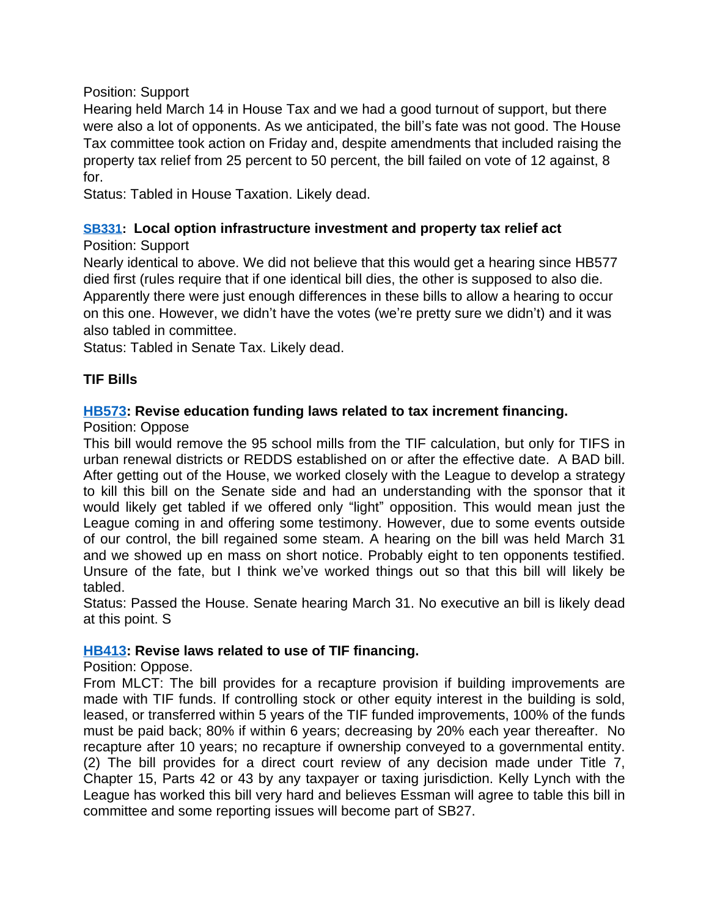## Position: Support

Hearing held March 14 in House Tax and we had a good turnout of support, but there were also a lot of opponents. As we anticipated, the bill's fate was not good. The House Tax committee took action on Friday and, despite amendments that included raising the property tax relief from 25 percent to 50 percent, the bill failed on vote of 12 against, 8 for.

Status: Tabled in House Taxation. Likely dead.

# **[SB331:](http://laws.leg.mt.gov/legprd/LAW0210W$BSIV.ActionQuery?P_BILL_NO1=331&P_BLTP_BILL_TYP_CD=SB&Z_ACTION=Find&P_SESS=20171) Local option infrastructure investment and property tax relief act**

# Position: Support

Nearly identical to above. We did not believe that this would get a hearing since HB577 died first (rules require that if one identical bill dies, the other is supposed to also die. Apparently there were just enough differences in these bills to allow a hearing to occur on this one. However, we didn't have the votes (we're pretty sure we didn't) and it was also tabled in committee.

Status: Tabled in Senate Tax. Likely dead.

# **TIF Bills**

# **[HB573](http://laws.leg.mt.gov/legprd/LAW0210W$BSIV.ActionQuery?P_BILL_NO1=573&P_BLTP_BILL_TYP_CD=HB&Z_ACTION=Find&P_SESS=20171): Revise education funding laws related to tax increment financing.**

Position: Oppose

This bill would remove the 95 school mills from the TIF calculation, but only for TIFS in urban renewal districts or REDDS established on or after the effective date. A BAD bill. After getting out of the House, we worked closely with the League to develop a strategy to kill this bill on the Senate side and had an understanding with the sponsor that it would likely get tabled if we offered only "light" opposition. This would mean just the League coming in and offering some testimony. However, due to some events outside of our control, the bill regained some steam. A hearing on the bill was held March 31 and we showed up en mass on short notice. Probably eight to ten opponents testified. Unsure of the fate, but I think we've worked things out so that this bill will likely be tabled.

Status: Passed the House. Senate hearing March 31. No executive an bill is likely dead at this point. S

# **[HB413](http://laws.leg.mt.gov/legprd/LAW0210W$BSIV.ActionQuery?P_BILL_NO1=413&P_BLTP_BILL_TYP_CD=HB&Z_ACTION=Find&P_SESS=20171): Revise laws related to use of TIF financing.**

#### Position: Oppose.

From MLCT: The bill provides for a recapture provision if building improvements are made with TIF funds. If controlling stock or other equity interest in the building is sold, leased, or transferred within 5 years of the TIF funded improvements, 100% of the funds must be paid back; 80% if within 6 years; decreasing by 20% each year thereafter. No recapture after 10 years; no recapture if ownership conveyed to a governmental entity. (2) The bill provides for a direct court review of any decision made under Title 7, Chapter 15, Parts 42 or 43 by any taxpayer or taxing jurisdiction. Kelly Lynch with the League has worked this bill very hard and believes Essman will agree to table this bill in committee and some reporting issues will become part of SB27.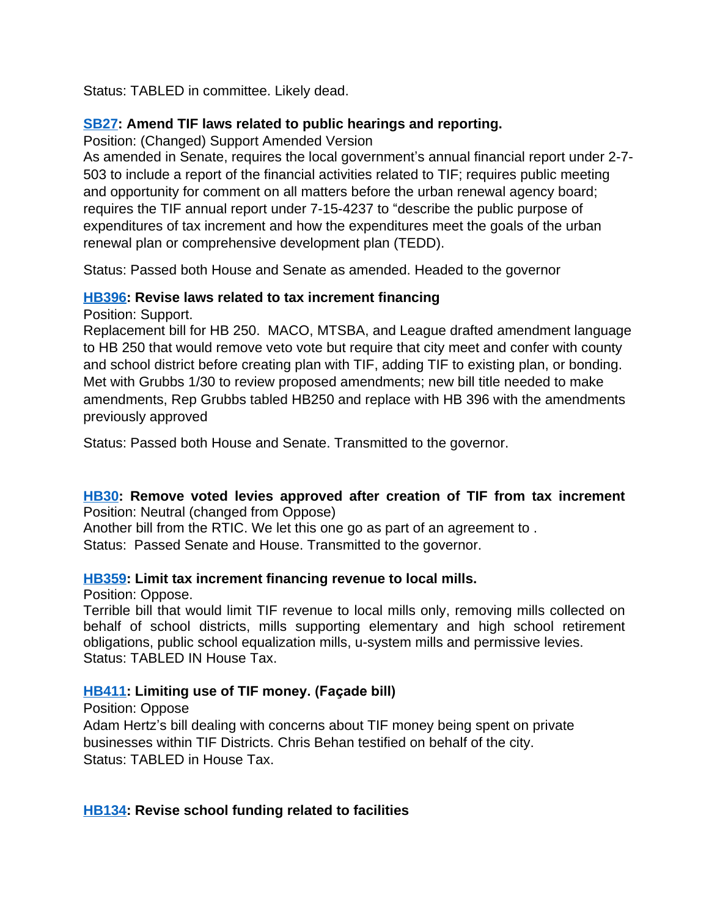Status: TABLED in committee. Likely dead.

## **[SB27](http://laws.leg.mt.gov/legprd/LAW0210W$BSIV.ActionQuery?P_BILL_NO1=27&P_BLTP_BILL_TYP_CD=SB&Z_ACTION=Find&P_SESS=20171): Amend TIF laws related to public hearings and reporting.**

Position: (Changed) Support Amended Version

As amended in Senate, requires the local government's annual financial report under 2-7- 503 to include a report of the financial activities related to TIF; requires public meeting and opportunity for comment on all matters before the urban renewal agency board; requires the TIF annual report under 7-15-4237 to "describe the public purpose of expenditures of tax increment and how the expenditures meet the goals of the urban renewal plan or comprehensive development plan (TEDD).

Status: Passed both House and Senate as amended. Headed to the governor

## **[HB396](http://laws.leg.mt.gov/legprd/LAW0210W$BSIV.ActionQuery?P_BILL_NO1=396&P_BLTP_BILL_TYP_CD=HB&Z_ACTION=Find&P_SESS=20171): Revise laws related to tax increment financing**

Position: Support.

Replacement bill for HB 250. MACO, MTSBA, and League drafted amendment language to HB 250 that would remove veto vote but require that city meet and confer with county and school district before creating plan with TIF, adding TIF to existing plan, or bonding. Met with Grubbs 1/30 to review proposed amendments; new bill title needed to make amendments, Rep Grubbs tabled HB250 and replace with HB 396 with the amendments previously approved

Status: Passed both House and Senate. Transmitted to the governor.

#### **[HB30:](http://laws.leg.mt.gov/legprd/LAW0210W$BSIV.ActionQuery?P_BILL_NO1=30&P_BLTP_BILL_TYP_CD=HB&Z_ACTION=Find&P_SESS=20171) Remove voted levies approved after creation of TIF from tax increment** Position: Neutral (changed from Oppose)

Another bill from the RTIC. We let this one go as part of an agreement to . Status: Passed Senate and House. Transmitted to the governor.

#### **[HB359](http://laws.leg.mt.gov/legprd/LAW0210W$BSIV.ActionQuery?P_BILL_NO1=359&P_BLTP_BILL_TYP_CD=HB&Z_ACTION=Find&P_SESS=20171): Limit tax increment financing revenue to local mills.**

Position: Oppose.

Terrible bill that would limit TIF revenue to local mills only, removing mills collected on behalf of school districts, mills supporting elementary and high school retirement obligations, public school equalization mills, u-system mills and permissive levies. Status: TABLED IN House Tax.

# **[HB411](http://laws.leg.mt.gov/legprd/LAW0210W$BSIV.ActionQuery?P_BILL_NO1=411&P_BLTP_BILL_TYP_CD=HB&Z_ACTION=Find&P_SESS=20171): Limiting use of TIF money. (Façade bill)**

Position: Oppose Adam Hertz's bill dealing with concerns about TIF money being spent on private businesses within TIF Districts. Chris Behan testified on behalf of the city. Status: TABLED in House Tax.

# **[HB134](http://laws.leg.mt.gov/legprd/LAW0210W$BSIV.ActionQuery?P_BILL_NO1=134&P_BLTP_BILL_TYP_CD=HB&Z_ACTION=Find&P_SESS=20171): Revise school funding related to facilities**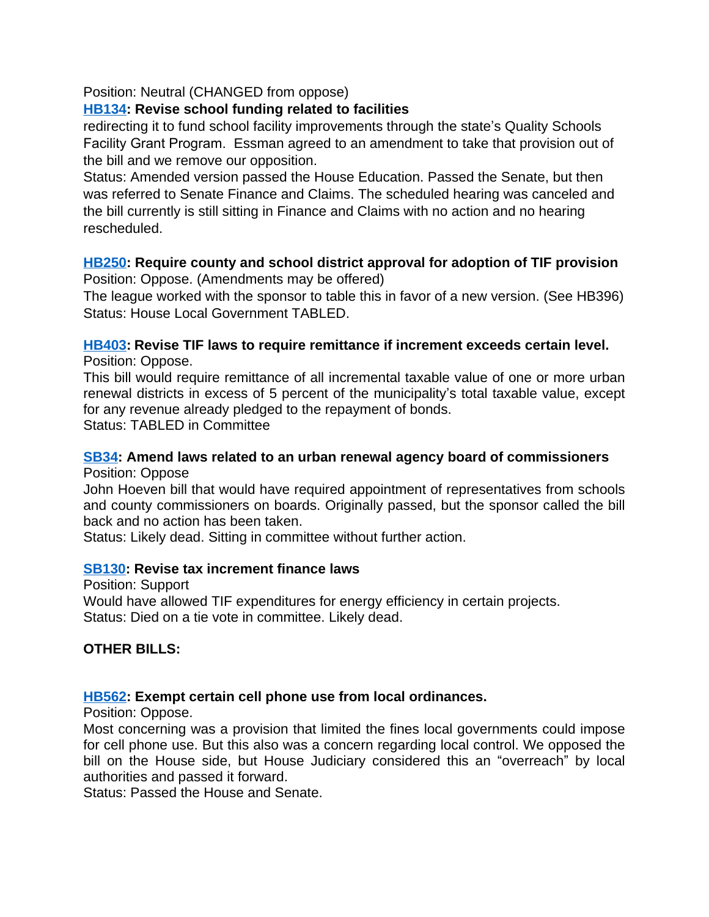## Position: Neutral (CHANGED from oppose)

## **[HB134](http://laws.leg.mt.gov/legprd/LAW0210W$BSIV.ActionQuery?P_BILL_NO1=134&P_BLTP_BILL_TYP_CD=HB&Z_ACTION=Find&P_SESS=20171): Revise school funding related to facilities**

redirecting it to fund school facility improvements through the state's Quality Schools Facility Grant Program. Essman agreed to an amendment to take that provision out of the bill and we remove our opposition.

Status: Amended version passed the House Education. Passed the Senate, but then was referred to Senate Finance and Claims. The scheduled hearing was canceled and the bill currently is still sitting in Finance and Claims with no action and no hearing rescheduled.

#### **[HB250](http://laws.leg.mt.gov/legprd/LAW0210W$BSIV.ActionQuery?P_BILL_NO1=250&P_BLTP_BILL_TYP_CD=HB&Z_ACTION=Find&P_SESS=20171): Require county and school district approval for adoption of TIF provision** Position: Oppose. (Amendments may be offered)

The league worked with the sponsor to table this in favor of a new version. (See HB396) Status: House Local Government TABLED.

# **[HB403](http://laws.leg.mt.gov/legprd/LAW0210W$BSIV.ActionQuery?P_BILL_NO1=403&P_BLTP_BILL_TYP_CD=HB&Z_ACTION=Find&P_SESS=20171): Revise TIF laws to require remittance if increment exceeds certain level.**

Position: Oppose.

This bill would require remittance of all incremental taxable value of one or more urban renewal districts in excess of 5 percent of the municipality's total taxable value, except for any revenue already pledged to the repayment of bonds. Status: TABLED in Committee

#### **[SB34](http://laws.leg.mt.gov/legprd/LAW0210W$BSIV.ActionQuery?P_BILL_NO1=34&P_BLTP_BILL_TYP_CD=SB&Z_ACTION=Find&P_SESS=20171): Amend laws related to an urban renewal agency board of commissioners** Position: Oppose

John Hoeven bill that would have required appointment of representatives from schools and county commissioners on boards. Originally passed, but the sponsor called the bill back and no action has been taken.

Status: Likely dead. Sitting in committee without further action.

#### **[SB130:](http://laws.leg.mt.gov/legprd/LAW0210W$BSIV.ActionQuery?P_BILL_NO1=130&P_BLTP_BILL_TYP_CD=SB&Z_ACTION=Find&P_SESS=20171) Revise tax increment finance laws**

Position: Support Would have allowed TIF expenditures for energy efficiency in certain projects. Status: Died on a tie vote in committee. Likely dead.

# **OTHER BILLS:**

#### **[HB562](http://laws.leg.mt.gov/legprd/LAW0210W$BSIV.ActionQuery?P_BILL_NO1=562&P_BLTP_BILL_TYP_CD=HB&Z_ACTION=Find&P_SESS=20171): Exempt certain cell phone use from local ordinances.**

Position: Oppose.

Most concerning was a provision that limited the fines local governments could impose for cell phone use. But this also was a concern regarding local control. We opposed the bill on the House side, but House Judiciary considered this an "overreach" by local authorities and passed it forward.

Status: Passed the House and Senate.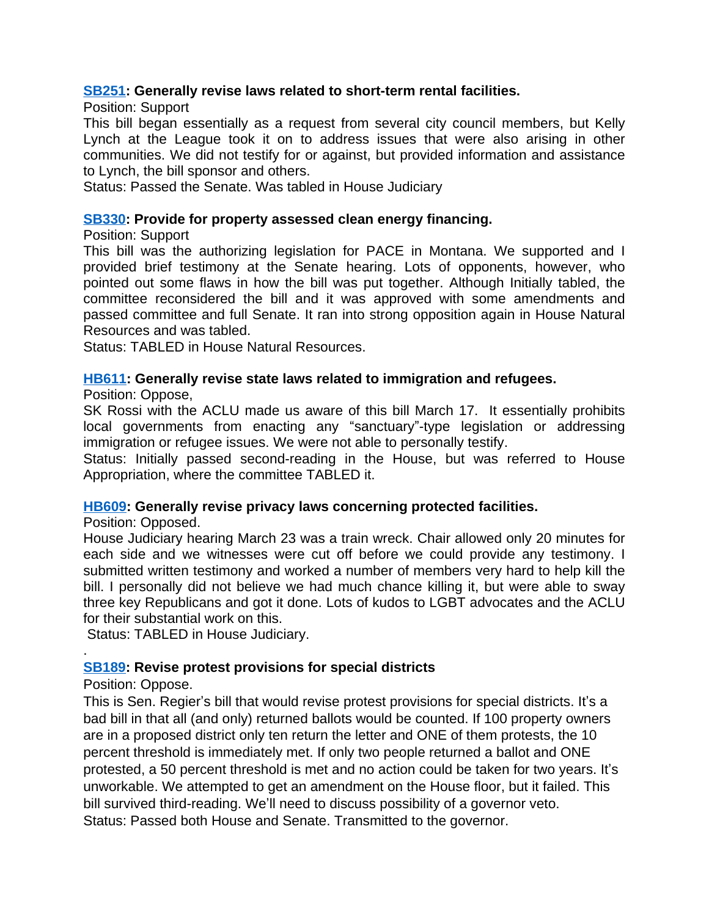#### **[SB251:](http://laws.leg.mt.gov/legprd/LAW0210W$BSIV.ActionQuery?P_BILL_NO1=251&P_BLTP_BILL_TYP_CD=SB&Z_ACTION=Find&P_SESS=20171) Generally revise laws related to short-term rental facilities.**

Position: Support

This bill began essentially as a request from several city council members, but Kelly Lynch at the League took it on to address issues that were also arising in other communities. We did not testify for or against, but provided information and assistance to Lynch, the bill sponsor and others.

Status: Passed the Senate. Was tabled in House Judiciary

#### **[SB330:](http://laws.leg.mt.gov/legprd/LAW0210W$BSIV.ActionQuery?P_BILL_NO1=330&P_BLTP_BILL_TYP_CD=SB&Z_ACTION=Find&P_SESS=20171) Provide for property assessed clean energy financing.**

Position: Support

This bill was the authorizing legislation for PACE in Montana. We supported and I provided brief testimony at the Senate hearing. Lots of opponents, however, who pointed out some flaws in how the bill was put together. Although Initially tabled, the committee reconsidered the bill and it was approved with some amendments and passed committee and full Senate. It ran into strong opposition again in House Natural Resources and was tabled.

Status: TABLED in House Natural Resources.

#### **[HB611](http://laws.leg.mt.gov/legprd/LAW0210W$BSIV.ActionQuery?P_BILL_NO1=611&P_BLTP_BILL_TYP_CD=HB&Z_ACTION=Find&P_SESS=20171): Generally revise state laws related to immigration and refugees.**

Position: Oppose,

SK Rossi with the ACLU made us aware of this bill March 17. It essentially prohibits local governments from enacting any "sanctuary"-type legislation or addressing immigration or refugee issues. We were not able to personally testify.

Status: Initially passed second-reading in the House, but was referred to House Appropriation, where the committee TABLED it.

#### **[HB609](http://laws.leg.mt.gov/legprd/LAW0210W$BSIV.ActionQuery?P_BILL_NO1=609&P_BLTP_BILL_TYP_CD=HB&Z_ACTION=Find&P_SESS=20171): Generally revise privacy laws concerning protected facilities.**

Position: Opposed.

House Judiciary hearing March 23 was a train wreck. Chair allowed only 20 minutes for each side and we witnesses were cut off before we could provide any testimony. I submitted written testimony and worked a number of members very hard to help kill the bill. I personally did not believe we had much chance killing it, but were able to sway three key Republicans and got it done. Lots of kudos to LGBT advocates and the ACLU for their substantial work on this.

Status: TABLED in House Judiciary.

#### **[SB189:](http://laws.leg.mt.gov/legprd/LAW0210W$BSIV.ActionQuery?P_BILL_NO1=189&P_BLTP_BILL_TYP_CD=SB&Z_ACTION=Find&P_SESS=20171) Revise protest provisions for special districts**

#### Position: Oppose.

.

This is Sen. Regier's bill that would revise protest provisions for special districts. It's a bad bill in that all (and only) returned ballots would be counted. If 100 property owners are in a proposed district only ten return the letter and ONE of them protests, the 10 percent threshold is immediately met. If only two people returned a ballot and ONE protested, a 50 percent threshold is met and no action could be taken for two years. It's unworkable. We attempted to get an amendment on the House floor, but it failed. This bill survived third-reading. We'll need to discuss possibility of a governor veto. Status: Passed both House and Senate. Transmitted to the governor.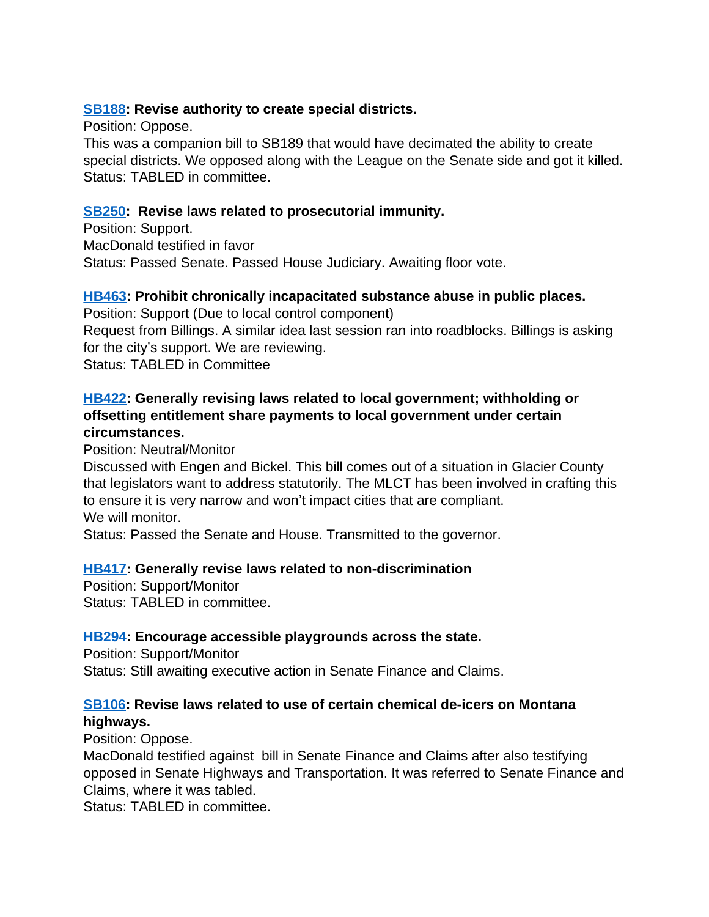# **[SB188:](http://laws.leg.mt.gov/legprd/LAW0210W$BSIV.ActionQuery?P_BILL_NO1=188&P_BLTP_BILL_TYP_CD=SB&Z_ACTION=Find&P_SESS=20171) Revise authority to create special districts.**

Position: Oppose.

This was a companion bill to SB189 that would have decimated the ability to create special districts. We opposed along with the League on the Senate side and got it killed. Status: TABLED in committee.

# **[SB250:](http://laws.leg.mt.gov/legprd/LAW0210W$BSIV.ActionQuery?P_BILL_NO1=250&P_BLTP_BILL_TYP_CD=SB&Z_ACTION=Find&P_SESS=20171) Revise laws related to prosecutorial immunity.**

Position: Support. MacDonald testified in favor Status: Passed Senate. Passed House Judiciary. Awaiting floor vote.

## **[HB463](http://laws.leg.mt.gov/legprd/LAW0210W$BSIV.ActionQuery?P_BILL_NO1=463&P_BLTP_BILL_TYP_CD=HB&Z_ACTION=Find&P_SESS=20171): Prohibit chronically incapacitated substance abuse in public places.**

Position: Support (Due to local control component) Request from Billings. A similar idea last session ran into roadblocks. Billings is asking for the city's support. We are reviewing. Status: TABLED in Committee

# **[HB422](http://laws.leg.mt.gov/legprd/LAW0210W$BSIV.ActionQuery?P_BILL_NO1=422&P_BLTP_BILL_TYP_CD=HB&Z_ACTION=Find&P_SESS=20171): Generally revising laws related to local government; withholding or offsetting entitlement share payments to local government under certain circumstances.**

Position: Neutral/Monitor

Discussed with Engen and Bickel. This bill comes out of a situation in Glacier County that legislators want to address statutorily. The MLCT has been involved in crafting this to ensure it is very narrow and won't impact cities that are compliant. We will monitor.

Status: Passed the Senate and House. Transmitted to the governor.

# **[HB417](http://laws.leg.mt.gov/legprd/LAW0210W$BSIV.ActionQuery?P_BILL_NO1=417&P_BLTP_BILL_TYP_CD=HB&Z_ACTION=Find&P_SESS=20171): Generally revise laws related to non-discrimination**

Position: Support/Monitor Status: TABLED in committee.

# **[HB294](http://laws.leg.mt.gov/legprd/LAW0210W$BSIV.ActionQuery?P_BILL_NO1=294&P_BLTP_BILL_TYP_CD=HB&Z_ACTION=Find&P_SESS=20171): Encourage accessible playgrounds across the state.**

Position: Support/Monitor Status: Still awaiting executive action in Senate Finance and Claims.

# **[SB106:](http://laws.leg.mt.gov/legprd/LAW0210W$BSIV.ActionQuery?P_BILL_NO1=106&P_BLTP_BILL_TYP_CD=SB&Z_ACTION=Find&P_SESS=20171) Revise laws related to use of certain chemical de-icers on Montana highways.**

Position: Oppose.

MacDonald testified against bill in Senate Finance and Claims after also testifying opposed in Senate Highways and Transportation. It was referred to Senate Finance and Claims, where it was tabled.

Status: TABLED in committee.